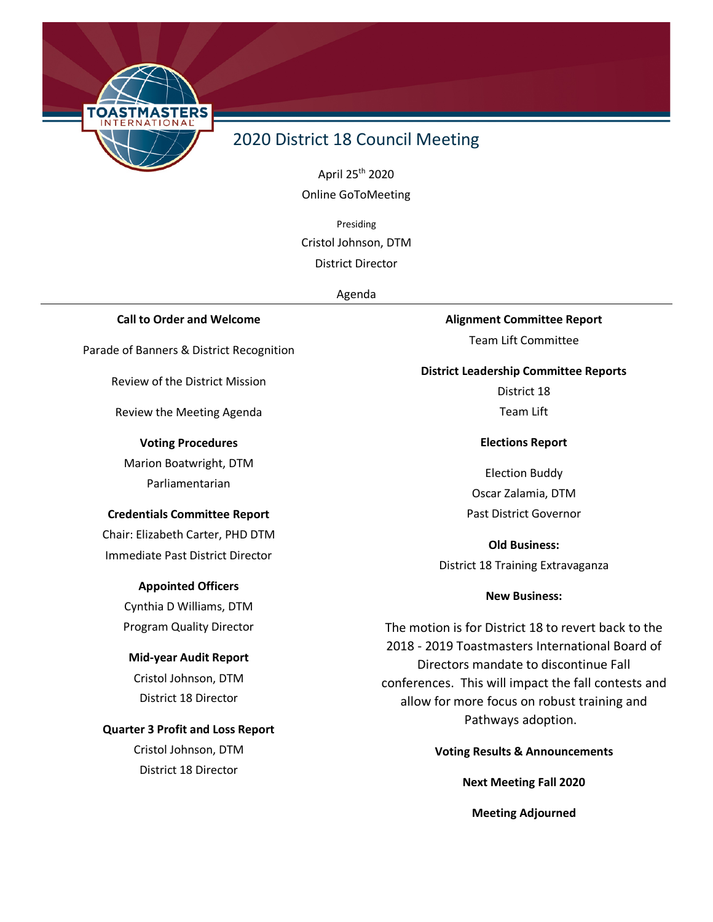

## 2020 District 18 Council Meeting

April 25th 2020 Online GoToMeeting

Presiding Cristol Johnson, DTM District Director

Agenda

## **Call to Order and Welcome**

Parade of Banners & District Recognition

Review of the District Mission

Review the Meeting Agenda

### **Voting Procedures**

Marion Boatwright, DTM Parliamentarian

## **Credentials Committee Report**

Chair: Elizabeth Carter, PHD DTM Immediate Past District Director

## **Appointed Officers**

Cynthia D Williams, DTM Program Quality Director

### **Mid-year Audit Report**

Cristol Johnson, DTM District 18 Director

## **Quarter 3 Profit and Loss Report**

Cristol Johnson, DTM District 18 Director

**Alignment Committee Report** Team Lift Committee

## **District Leadership Committee Reports**

District 18 Team Lift

**Elections Report**

Election Buddy Oscar Zalamia, DTM Past District Governor

**Old Business:** District 18 Training Extravaganza

## **New Business:**

The motion is for District 18 to revert back to the 2018 - 2019 Toastmasters International Board of Directors mandate to discontinue Fall conferences. This will impact the fall contests and allow for more focus on robust training and Pathways adoption.

**Voting Results & Announcements**

**Next Meeting Fall 2020**

**Meeting Adjourned**